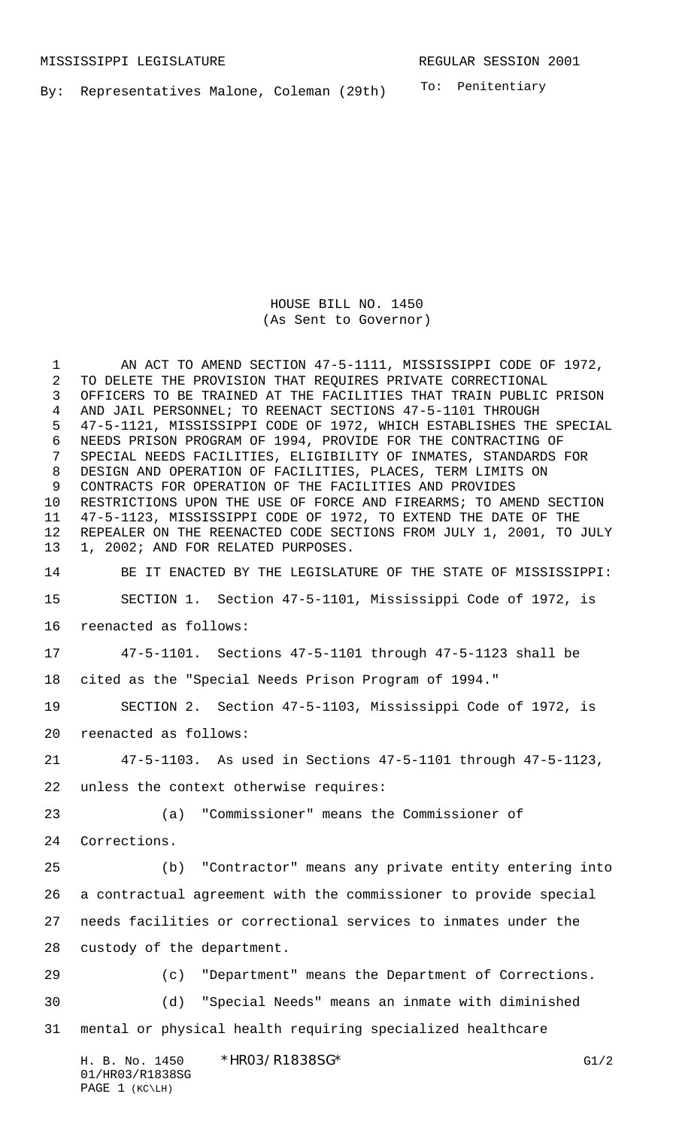To: Penitentiary By: Representatives Malone, Coleman (29th)

> HOUSE BILL NO. 1450 (As Sent to Governor)

H. B. No. 1450 \*HRO3/R1838SG\* G1/2 01/HR03/R1838SG PAGE 1 (KC\LH) 1 AN ACT TO AMEND SECTION 47-5-1111, MISSISSIPPI CODE OF 1972, TO DELETE THE PROVISION THAT REQUIRES PRIVATE CORRECTIONAL OFFICERS TO BE TRAINED AT THE FACILITIES THAT TRAIN PUBLIC PRISON AND JAIL PERSONNEL; TO REENACT SECTIONS 47-5-1101 THROUGH 47-5-1121, MISSISSIPPI CODE OF 1972, WHICH ESTABLISHES THE SPECIAL NEEDS PRISON PROGRAM OF 1994, PROVIDE FOR THE CONTRACTING OF SPECIAL NEEDS FACILITIES, ELIGIBILITY OF INMATES, STANDARDS FOR DESIGN AND OPERATION OF FACILITIES, PLACES, TERM LIMITS ON CONTRACTS FOR OPERATION OF THE FACILITIES AND PROVIDES RESTRICTIONS UPON THE USE OF FORCE AND FIREARMS; TO AMEND SECTION 47-5-1123, MISSISSIPPI CODE OF 1972, TO EXTEND THE DATE OF THE REPEALER ON THE REENACTED CODE SECTIONS FROM JULY 1, 2001, TO JULY 1, 2002; AND FOR RELATED PURPOSES. BE IT ENACTED BY THE LEGISLATURE OF THE STATE OF MISSISSIPPI: SECTION 1. Section 47-5-1101, Mississippi Code of 1972, is reenacted as follows: 47-5-1101. Sections 47-5-1101 through 47-5-1123 shall be cited as the "Special Needs Prison Program of 1994." SECTION 2. Section 47-5-1103, Mississippi Code of 1972, is reenacted as follows: 47-5-1103. As used in Sections 47-5-1101 through 47-5-1123, unless the context otherwise requires: (a) "Commissioner" means the Commissioner of Corrections. (b) "Contractor" means any private entity entering into a contractual agreement with the commissioner to provide special needs facilities or correctional services to inmates under the custody of the department. (c) "Department" means the Department of Corrections. (d) "Special Needs" means an inmate with diminished mental or physical health requiring specialized healthcare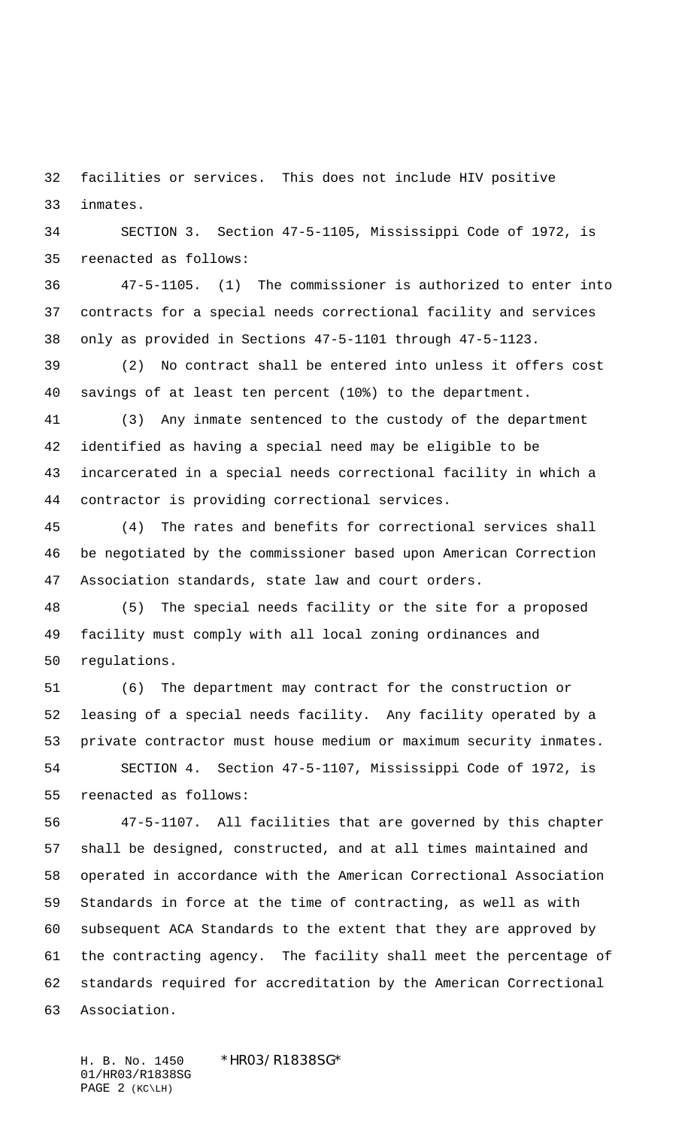facilities or services. This does not include HIV positive inmates.

 SECTION 3. Section 47-5-1105, Mississippi Code of 1972, is reenacted as follows:

 47-5-1105. (1) The commissioner is authorized to enter into contracts for a special needs correctional facility and services only as provided in Sections 47-5-1101 through 47-5-1123.

 (2) No contract shall be entered into unless it offers cost savings of at least ten percent (10%) to the department.

 (3) Any inmate sentenced to the custody of the department identified as having a special need may be eligible to be incarcerated in a special needs correctional facility in which a contractor is providing correctional services.

 (4) The rates and benefits for correctional services shall be negotiated by the commissioner based upon American Correction Association standards, state law and court orders.

 (5) The special needs facility or the site for a proposed facility must comply with all local zoning ordinances and regulations.

 (6) The department may contract for the construction or leasing of a special needs facility. Any facility operated by a private contractor must house medium or maximum security inmates. SECTION 4. Section 47-5-1107, Mississippi Code of 1972, is reenacted as follows:

 47-5-1107. All facilities that are governed by this chapter shall be designed, constructed, and at all times maintained and operated in accordance with the American Correctional Association Standards in force at the time of contracting, as well as with subsequent ACA Standards to the extent that they are approved by the contracting agency. The facility shall meet the percentage of standards required for accreditation by the American Correctional Association.

H. B. No. 1450 \*HR03/R1838SG\* 01/HR03/R1838SG PAGE 2 (KC\LH)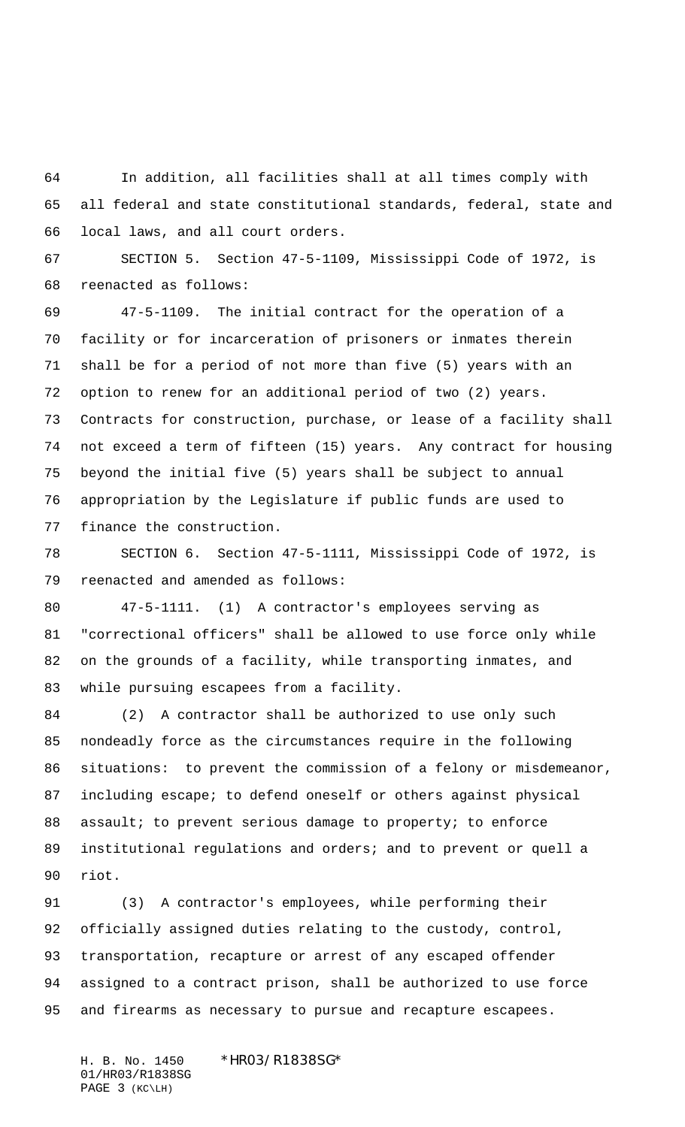In addition, all facilities shall at all times comply with all federal and state constitutional standards, federal, state and local laws, and all court orders.

 SECTION 5. Section 47-5-1109, Mississippi Code of 1972, is reenacted as follows:

 47-5-1109. The initial contract for the operation of a facility or for incarceration of prisoners or inmates therein shall be for a period of not more than five (5) years with an option to renew for an additional period of two (2) years. Contracts for construction, purchase, or lease of a facility shall not exceed a term of fifteen (15) years. Any contract for housing beyond the initial five (5) years shall be subject to annual appropriation by the Legislature if public funds are used to finance the construction.

 SECTION 6. Section 47-5-1111, Mississippi Code of 1972, is reenacted and amended as follows:

 47-5-1111. (1) A contractor's employees serving as "correctional officers" shall be allowed to use force only while on the grounds of a facility, while transporting inmates, and while pursuing escapees from a facility.

 (2) A contractor shall be authorized to use only such nondeadly force as the circumstances require in the following situations: to prevent the commission of a felony or misdemeanor, including escape; to defend oneself or others against physical 88 assault; to prevent serious damage to property; to enforce institutional regulations and orders; and to prevent or quell a riot.

 (3) A contractor's employees, while performing their officially assigned duties relating to the custody, control, transportation, recapture or arrest of any escaped offender assigned to a contract prison, shall be authorized to use force and firearms as necessary to pursue and recapture escapees.

H. B. No. 1450 \*HR03/R1838SG\* 01/HR03/R1838SG PAGE 3 (KC\LH)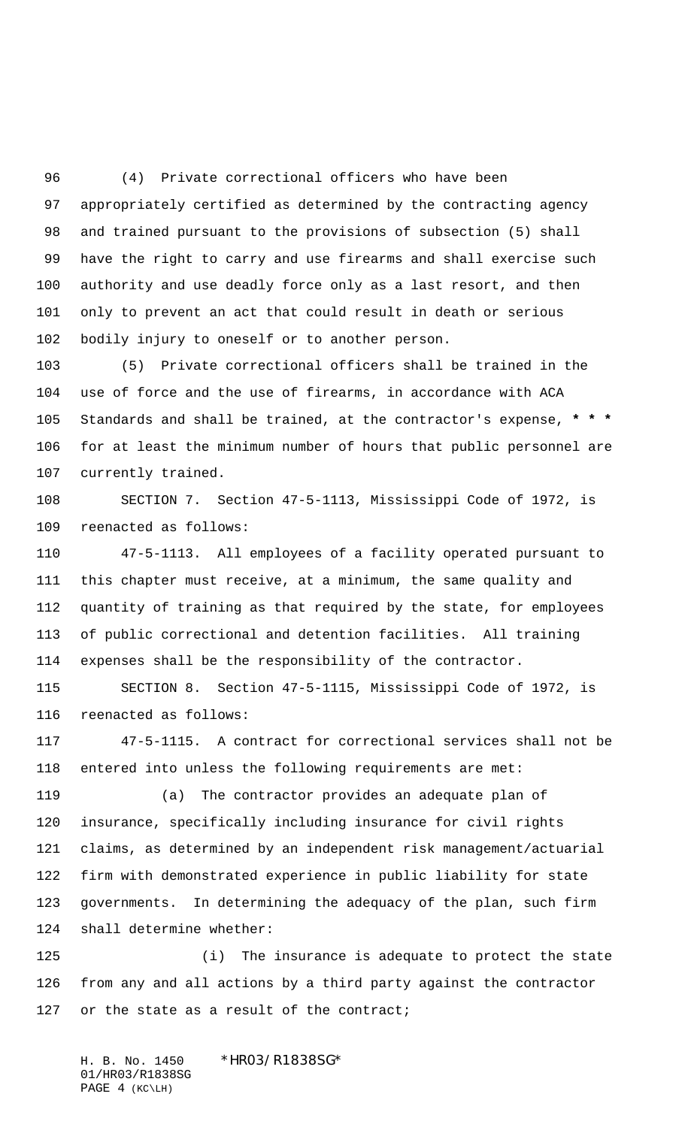(4) Private correctional officers who have been appropriately certified as determined by the contracting agency and trained pursuant to the provisions of subsection (5) shall have the right to carry and use firearms and shall exercise such authority and use deadly force only as a last resort, and then only to prevent an act that could result in death or serious bodily injury to oneself or to another person.

 (5) Private correctional officers shall be trained in the use of force and the use of firearms, in accordance with ACA Standards and shall be trained, at the contractor's expense, **\* \* \*** for at least the minimum number of hours that public personnel are currently trained.

 SECTION 7. Section 47-5-1113, Mississippi Code of 1972, is reenacted as follows:

 47-5-1113. All employees of a facility operated pursuant to this chapter must receive, at a minimum, the same quality and quantity of training as that required by the state, for employees of public correctional and detention facilities. All training expenses shall be the responsibility of the contractor.

 SECTION 8. Section 47-5-1115, Mississippi Code of 1972, is reenacted as follows:

 47-5-1115. A contract for correctional services shall not be entered into unless the following requirements are met:

 (a) The contractor provides an adequate plan of insurance, specifically including insurance for civil rights claims, as determined by an independent risk management/actuarial firm with demonstrated experience in public liability for state governments. In determining the adequacy of the plan, such firm shall determine whether:

 (i) The insurance is adequate to protect the state from any and all actions by a third party against the contractor 127 or the state as a result of the contract;

H. B. No. 1450 \*HR03/R1838SG\* 01/HR03/R1838SG PAGE 4 (KC\LH)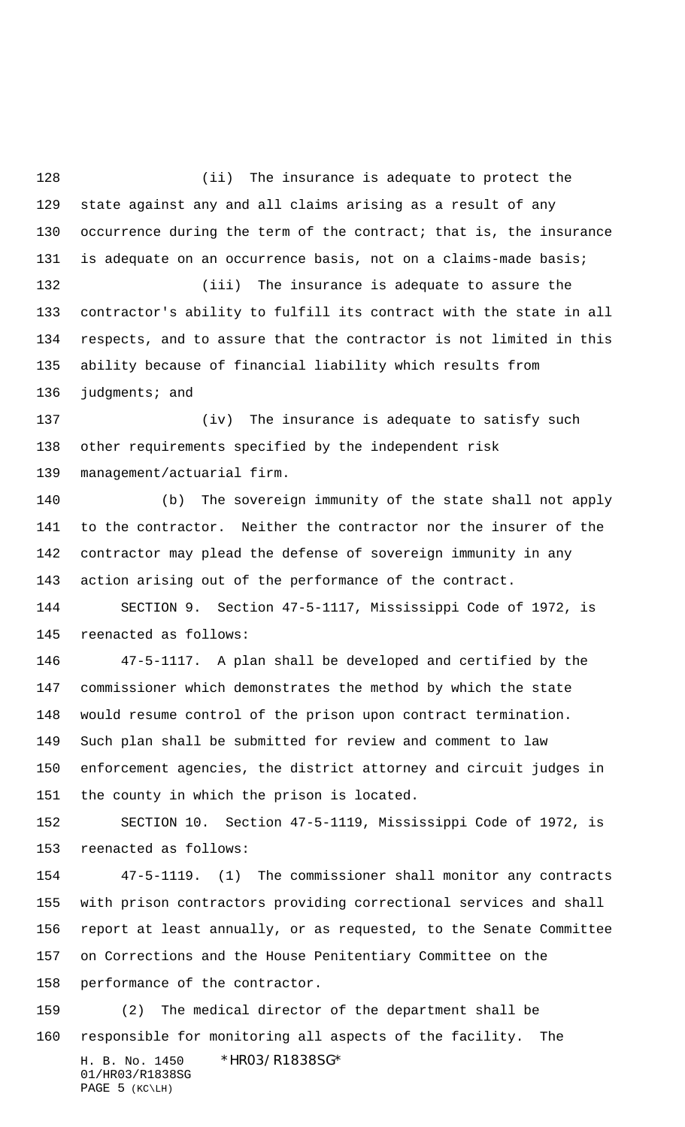128 (ii) The insurance is adequate to protect the state against any and all claims arising as a result of any occurrence during the term of the contract; that is, the insurance is adequate on an occurrence basis, not on a claims-made basis; (iii) The insurance is adequate to assure the

 contractor's ability to fulfill its contract with the state in all respects, and to assure that the contractor is not limited in this ability because of financial liability which results from 136 judgments; and

 (iv) The insurance is adequate to satisfy such other requirements specified by the independent risk management/actuarial firm.

 (b) The sovereign immunity of the state shall not apply to the contractor. Neither the contractor nor the insurer of the contractor may plead the defense of sovereign immunity in any action arising out of the performance of the contract.

 SECTION 9. Section 47-5-1117, Mississippi Code of 1972, is reenacted as follows:

 47-5-1117. A plan shall be developed and certified by the commissioner which demonstrates the method by which the state would resume control of the prison upon contract termination. Such plan shall be submitted for review and comment to law enforcement agencies, the district attorney and circuit judges in the county in which the prison is located.

 SECTION 10. Section 47-5-1119, Mississippi Code of 1972, is reenacted as follows:

 47-5-1119. (1) The commissioner shall monitor any contracts with prison contractors providing correctional services and shall report at least annually, or as requested, to the Senate Committee on Corrections and the House Penitentiary Committee on the performance of the contractor.

H. B. No. 1450 \*HR03/R1838SG\* 01/HR03/R1838SG PAGE 5 (KC\LH) (2) The medical director of the department shall be responsible for monitoring all aspects of the facility. The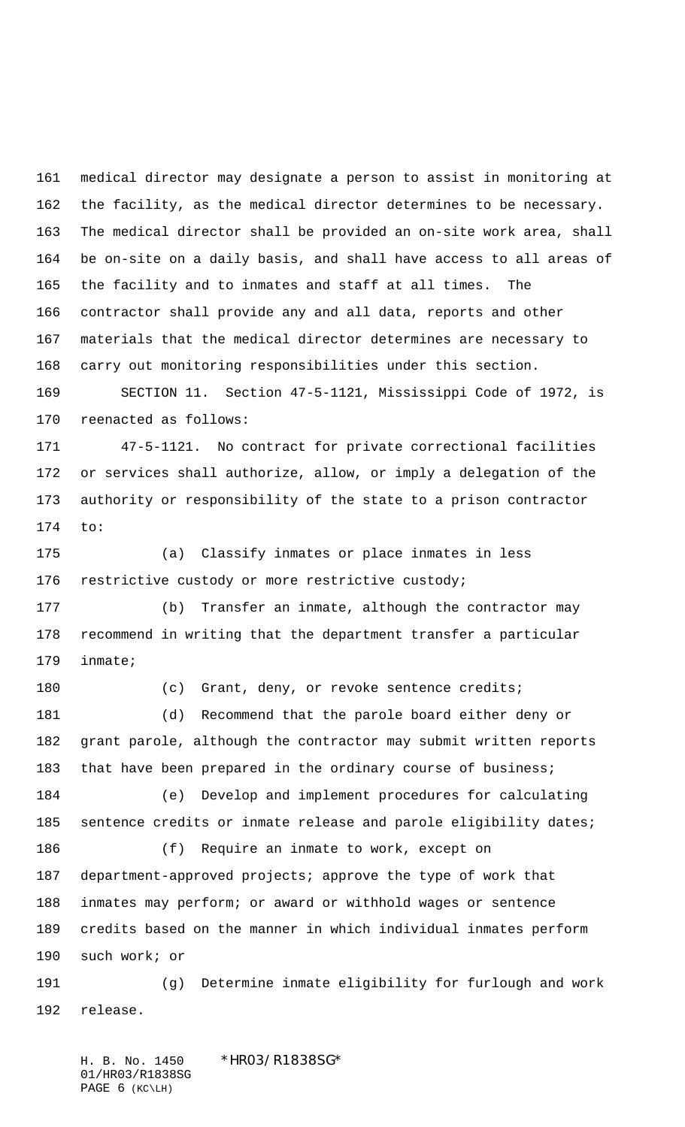medical director may designate a person to assist in monitoring at the facility, as the medical director determines to be necessary. The medical director shall be provided an on-site work area, shall be on-site on a daily basis, and shall have access to all areas of the facility and to inmates and staff at all times. The contractor shall provide any and all data, reports and other materials that the medical director determines are necessary to carry out monitoring responsibilities under this section.

 SECTION 11. Section 47-5-1121, Mississippi Code of 1972, is reenacted as follows:

 47-5-1121. No contract for private correctional facilities or services shall authorize, allow, or imply a delegation of the authority or responsibility of the state to a prison contractor to:

 (a) Classify inmates or place inmates in less restrictive custody or more restrictive custody;

 (b) Transfer an inmate, although the contractor may recommend in writing that the department transfer a particular inmate;

180 (c) Grant, deny, or revoke sentence credits; (d) Recommend that the parole board either deny or grant parole, although the contractor may submit written reports 183 that have been prepared in the ordinary course of business; (e) Develop and implement procedures for calculating 185 sentence credits or inmate release and parole eligibility dates; (f) Require an inmate to work, except on department-approved projects; approve the type of work that

 inmates may perform; or award or withhold wages or sentence credits based on the manner in which individual inmates perform such work; or

 (g) Determine inmate eligibility for furlough and work release.

H. B. No. 1450 \*HR03/R1838SG\* 01/HR03/R1838SG PAGE 6 (KC\LH)